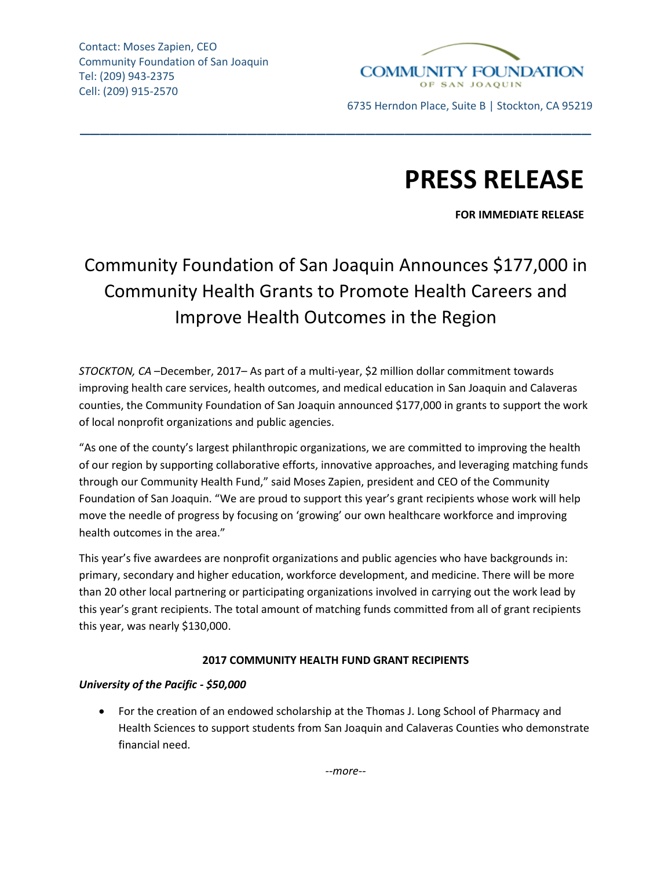

6735 Herndon Place, Suite B | Stockton, CA 95219

# **PRESS RELEASE**

**FOR IMMEDIATE RELEASE**

# Community Foundation of San Joaquin Announces \$177,000 in Community Health Grants to Promote Health Careers and Improve Health Outcomes in the Region

\_\_\_\_\_\_\_\_\_\_\_\_\_\_\_\_\_\_\_\_\_\_\_\_\_\_\_\_\_\_\_\_\_\_\_\_\_\_\_\_\_\_\_\_\_\_\_\_\_\_\_\_

*STOCKTON, CA* –December, 2017– As part of a multi-year, \$2 million dollar commitment towards improving health care services, health outcomes, and medical education in San Joaquin and Calaveras counties, the Community Foundation of San Joaquin announced \$177,000 in grants to support the work of local nonprofit organizations and public agencies.

"As one of the county's largest philanthropic organizations, we are committed to improving the health of our region by supporting collaborative efforts, innovative approaches, and leveraging matching funds through our Community Health Fund," said Moses Zapien, president and CEO of the Community Foundation of San Joaquin. "We are proud to support this year's grant recipients whose work will help move the needle of progress by focusing on 'growing' our own healthcare workforce and improving health outcomes in the area."

This year's five awardees are nonprofit organizations and public agencies who have backgrounds in: primary, secondary and higher education, workforce development, and medicine. There will be more than 20 other local partnering or participating organizations involved in carrying out the work lead by this year's grant recipients. The total amount of matching funds committed from all of grant recipients this year, was nearly \$130,000.

# **2017 COMMUNITY HEALTH FUND GRANT RECIPIENTS**

## *University of the Pacific - \$50,000*

• For the creation of an endowed scholarship at the Thomas J. Long School of Pharmacy and Health Sciences to support students from San Joaquin and Calaveras Counties who demonstrate financial need.

*--more--*